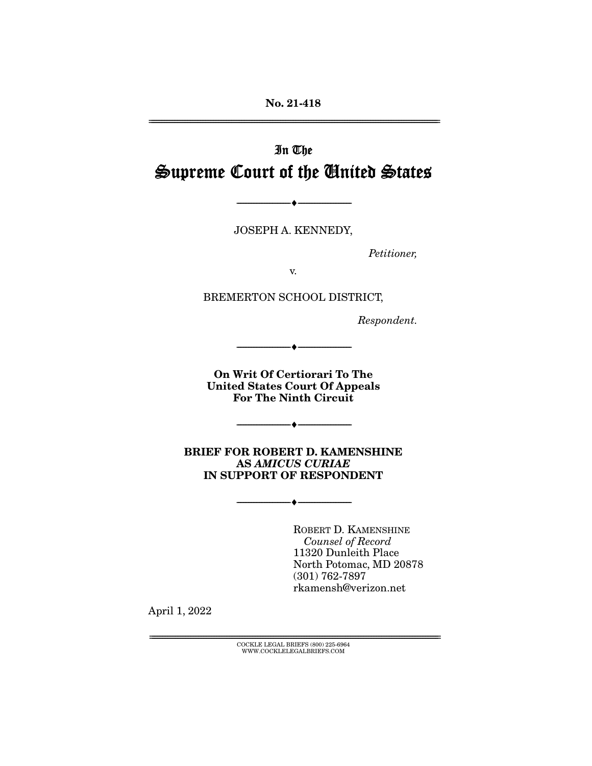**No. 21-418**  ================================================================================================================

# In The Supreme Court of the United States

JOSEPH A. KENNEDY,

--------------------------------- ♦ ---------------------------------

Petitioner,

v.

BREMERTON SCHOOL DISTRICT,

Respondent.

**On Writ Of Certiorari To The United States Court Of Appeals For The Ninth Circuit** 

--------------------------------- ♦ ---------------------------------

--------------------------------- ♦ ---------------------------------

**BRIEF FOR ROBERT D. KAMENSHINE AS** *AMICUS CURIAE* **IN SUPPORT OF RESPONDENT** 

--------------------------------- ♦ ---------------------------------

ROBERT D. KAMENSHINE Counsel of Record 11320 Dunleith Place North Potomac, MD 20878 (301) 762-7897 rkamensh@verizon.net

April 1, 2022

================================================================================================================ COCKLE LEGAL BRIEFS (800) 225-6964 WWW.COCKLELEGALBRIEFS.COM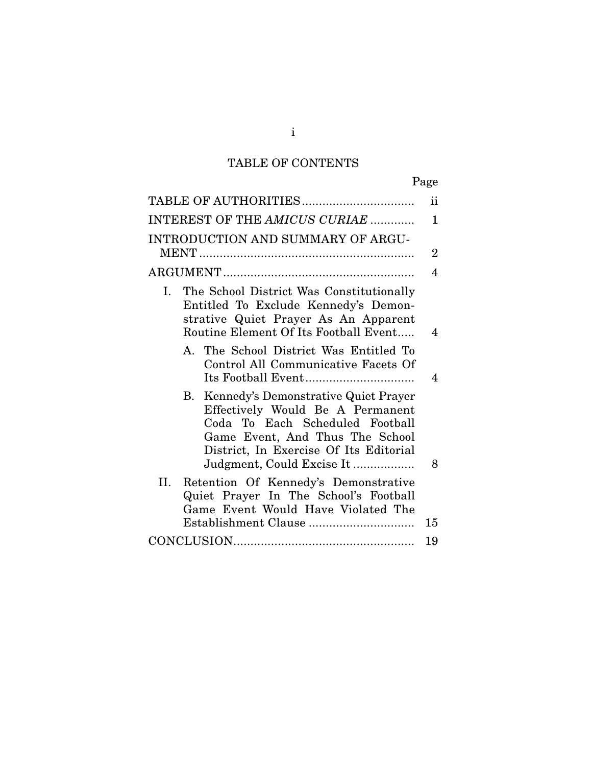# TABLE OF CONTENTS

| ۰, |
|----|
|----|

|                                                                                                                                                                                                                             | $\mathbf{ii}$  |
|-----------------------------------------------------------------------------------------------------------------------------------------------------------------------------------------------------------------------------|----------------|
| INTEREST OF THE AMICUS CURIAE                                                                                                                                                                                               | $\mathbf{1}$   |
| INTRODUCTION AND SUMMARY OF ARGU-                                                                                                                                                                                           | $\overline{2}$ |
|                                                                                                                                                                                                                             | 4              |
| I. The School District Was Constitutionally<br>Entitled To Exclude Kennedy's Demon-<br>strative Quiet Prayer As An Apparent<br>Routine Element Of Its Football Event                                                        | 4              |
| A. The School District Was Entitled To<br>Control All Communicative Facets Of                                                                                                                                               | 4              |
| Kennedy's Demonstrative Quiet Prayer<br>B.<br>Effectively Would Be A Permanent<br>Coda To Each Scheduled Football<br>Game Event, And Thus The School<br>District, In Exercise Of Its Editorial<br>Judgment, Could Excise It | 8              |
| II.<br>Retention Of Kennedy's Demonstrative<br>Quiet Prayer In The School's Football<br>Game Event Would Have Violated The                                                                                                  |                |
|                                                                                                                                                                                                                             | 15             |
|                                                                                                                                                                                                                             | 19             |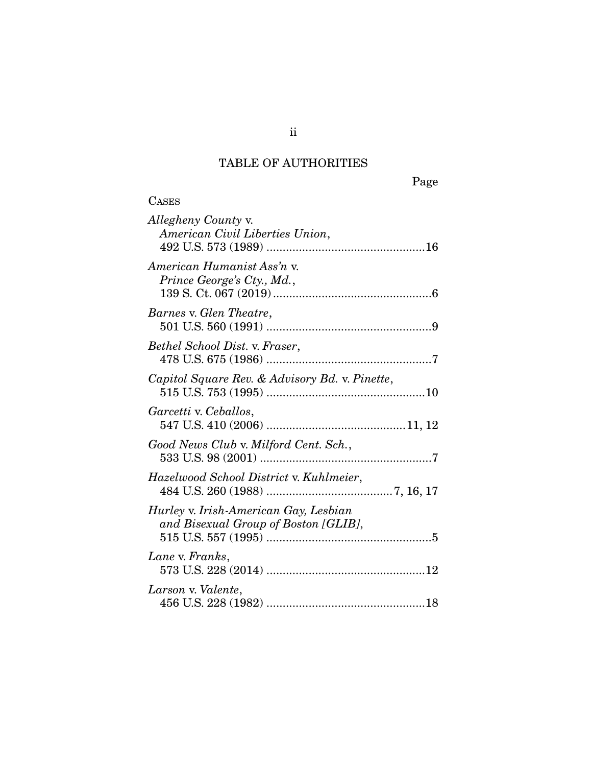# TABLE OF AUTHORITIES

**CASES** 

Page

| <i>Allegheny County v.</i><br>American Civil Liberties Union,                 |  |
|-------------------------------------------------------------------------------|--|
| American Humanist Ass'n v.<br>Prince George's Cty., Md.,                      |  |
| Barnes v. Glen Theatre,                                                       |  |
| Bethel School Dist. v. Fraser,                                                |  |
| Capitol Square Rev. & Advisory Bd. v. Pinette,                                |  |
| Garcetti v. Ceballos,                                                         |  |
| Good News Club v. Milford Cent. Sch.,                                         |  |
| Hazelwood School District v. Kuhlmeier,                                       |  |
| Hurley v. Irish-American Gay, Lesbian<br>and Bisexual Group of Boston [GLIB], |  |
| Lane v. Franks,                                                               |  |
| Larson v. Valente,                                                            |  |

ii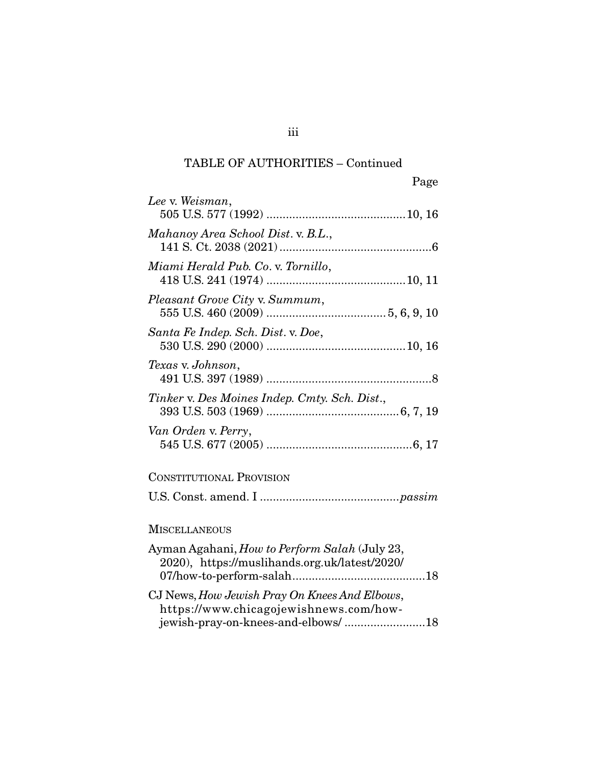## TABLE OF AUTHORITIES – Continued

| Page                                                                                                  |
|-------------------------------------------------------------------------------------------------------|
| Lee v. Weisman,                                                                                       |
| Mahanoy Area School Dist. v. B.L.,                                                                    |
| Miami Herald Pub. Co. v. Tornillo,                                                                    |
| Pleasant Grove City v. Summum,                                                                        |
| Santa Fe Indep. Sch. Dist. v. Doe,                                                                    |
| Texas v. Johnson,                                                                                     |
| Tinker v. Des Moines Indep. Cmty. Sch. Dist.,                                                         |
| Van Orden v. Perry,                                                                                   |
| <b>CONSTITUTIONAL PROVISION</b>                                                                       |
|                                                                                                       |
| <b>MISCELLANEOUS</b>                                                                                  |
| Ayman Agahani, <i>How to Perform Salah</i> (July 23,<br>2020), https://muslihands.org.uk/latest/2020/ |
| CJ News, How Jewish Pray On Knees And Elbows,<br>https://www.chicagojewishnews.com/how-               |

jewish-pray-on-knees-and-elbows/ ......................... 18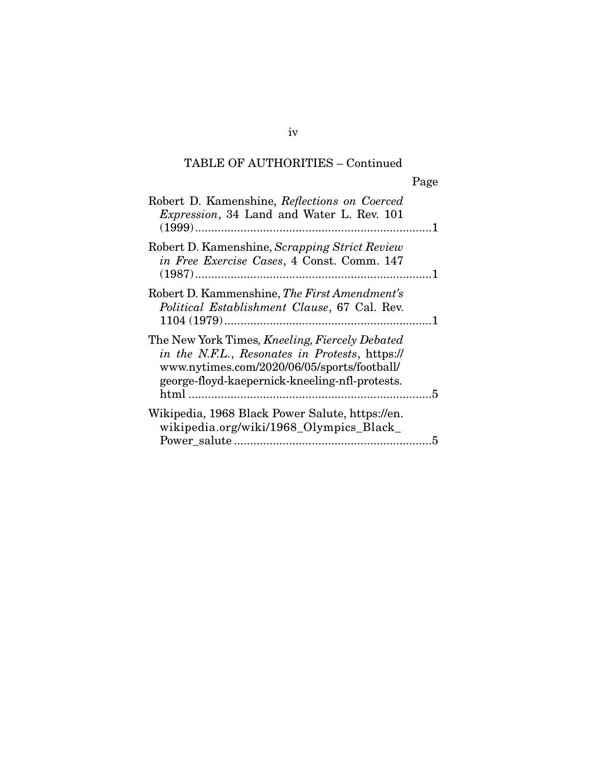# TABLE OF AUTHORITIES – Continued

| Robert D. Kamenshine, Reflections on Coerced<br>Expression, 34 Land and Water L. Rev. 101                                                                                                         |   |
|---------------------------------------------------------------------------------------------------------------------------------------------------------------------------------------------------|---|
| Robert D. Kamenshine, Scrapping Strict Review<br>in Free Exercise Cases, 4 Const. Comm. 147                                                                                                       |   |
| Robert D. Kammenshine, The First Amendment's<br>Political Establishment Clause, 67 Cal. Rev.                                                                                                      |   |
| The New York Times, Kneeling, Fiercely Debated<br>in the N.F.L., Resonates in Protests, https://<br>www.nytimes.com/2020/06/05/sports/football/<br>george-floyd-kaepernick-kneeling-nfl-protests. |   |
| Wikipedia, 1968 Black Power Salute, https://en.<br>wikipedia.org/wiki/1968_Olympics_Black_                                                                                                        | 5 |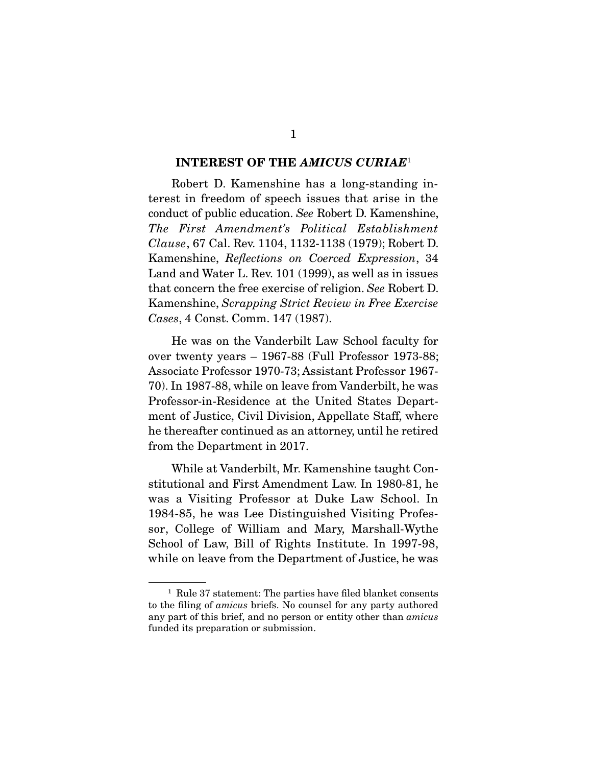#### **INTEREST OF THE** *AMICUS CURIAE*<sup>1</sup>

 Robert D. Kamenshine has a long-standing interest in freedom of speech issues that arise in the conduct of public education. See Robert D. Kamenshine, The First Amendment's Political Establishment Clause, 67 Cal. Rev. 1104, 1132-1138 (1979); Robert D. Kamenshine, Reflections on Coerced Expression, 34 Land and Water L. Rev. 101 (1999), as well as in issues that concern the free exercise of religion. See Robert D. Kamenshine, Scrapping Strict Review in Free Exercise Cases, 4 Const. Comm. 147 (1987).

 He was on the Vanderbilt Law School faculty for over twenty years – 1967-88 (Full Professor 1973-88; Associate Professor 1970-73; Assistant Professor 1967- 70). In 1987-88, while on leave from Vanderbilt, he was Professor-in-Residence at the United States Department of Justice, Civil Division, Appellate Staff, where he thereafter continued as an attorney, until he retired from the Department in 2017.

 While at Vanderbilt, Mr. Kamenshine taught Constitutional and First Amendment Law. In 1980-81, he was a Visiting Professor at Duke Law School. In 1984-85, he was Lee Distinguished Visiting Professor, College of William and Mary, Marshall-Wythe School of Law, Bill of Rights Institute. In 1997-98, while on leave from the Department of Justice, he was

<sup>1</sup> Rule 37 statement: The parties have filed blanket consents to the filing of amicus briefs. No counsel for any party authored any part of this brief, and no person or entity other than amicus funded its preparation or submission.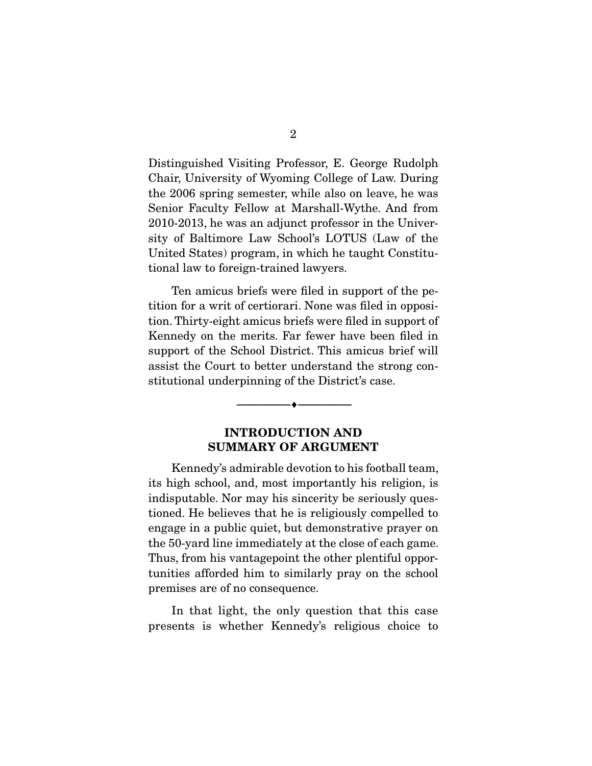Distinguished Visiting Professor, E. George Rudolph Chair, University of Wyoming College of Law. During the 2006 spring semester, while also on leave, he was Senior Faculty Fellow at Marshall-Wythe. And from 2010-2013, he was an adjunct professor in the University of Baltimore Law School's LOTUS (Law of the United States) program, in which he taught Constitutional law to foreign-trained lawyers.

 Ten amicus briefs were filed in support of the petition for a writ of certiorari. None was filed in opposition. Thirty-eight amicus briefs were filed in support of Kennedy on the merits. Far fewer have been filed in support of the School District. This amicus brief will assist the Court to better understand the strong constitutional underpinning of the District's case.

### **INTRODUCTION AND SUMMARY OF ARGUMENT**

--------------------------------- ♦ ---------------------------------

 Kennedy's admirable devotion to his football team, its high school, and, most importantly his religion, is indisputable. Nor may his sincerity be seriously questioned. He believes that he is religiously compelled to engage in a public quiet, but demonstrative prayer on the 50-yard line immediately at the close of each game. Thus, from his vantagepoint the other plentiful opportunities afforded him to similarly pray on the school premises are of no consequence.

 In that light, the only question that this case presents is whether Kennedy's religious choice to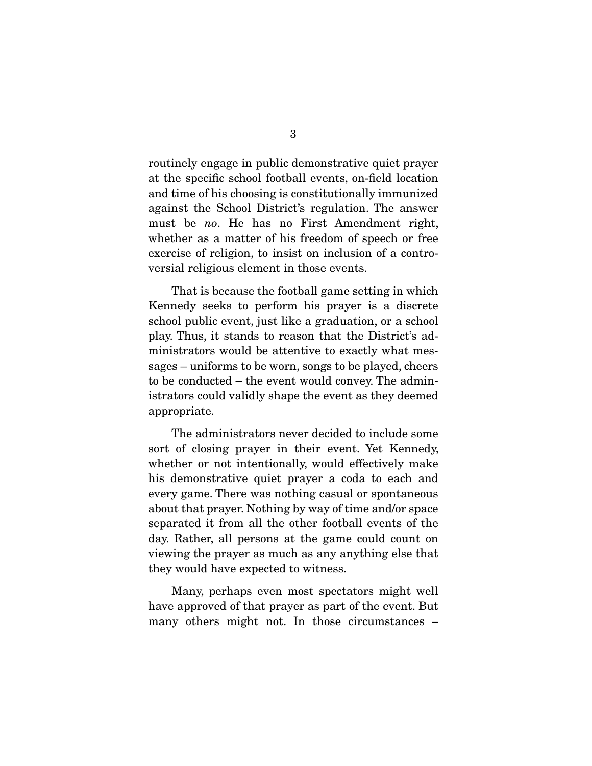routinely engage in public demonstrative quiet prayer at the specific school football events, on-field location and time of his choosing is constitutionally immunized against the School District's regulation. The answer must be no. He has no First Amendment right, whether as a matter of his freedom of speech or free exercise of religion, to insist on inclusion of a controversial religious element in those events.

 That is because the football game setting in which Kennedy seeks to perform his prayer is a discrete school public event, just like a graduation, or a school play. Thus, it stands to reason that the District's administrators would be attentive to exactly what messages – uniforms to be worn, songs to be played, cheers to be conducted – the event would convey. The administrators could validly shape the event as they deemed appropriate.

 The administrators never decided to include some sort of closing prayer in their event. Yet Kennedy, whether or not intentionally, would effectively make his demonstrative quiet prayer a coda to each and every game. There was nothing casual or spontaneous about that prayer. Nothing by way of time and/or space separated it from all the other football events of the day. Rather, all persons at the game could count on viewing the prayer as much as any anything else that they would have expected to witness.

 Many, perhaps even most spectators might well have approved of that prayer as part of the event. But many others might not. In those circumstances –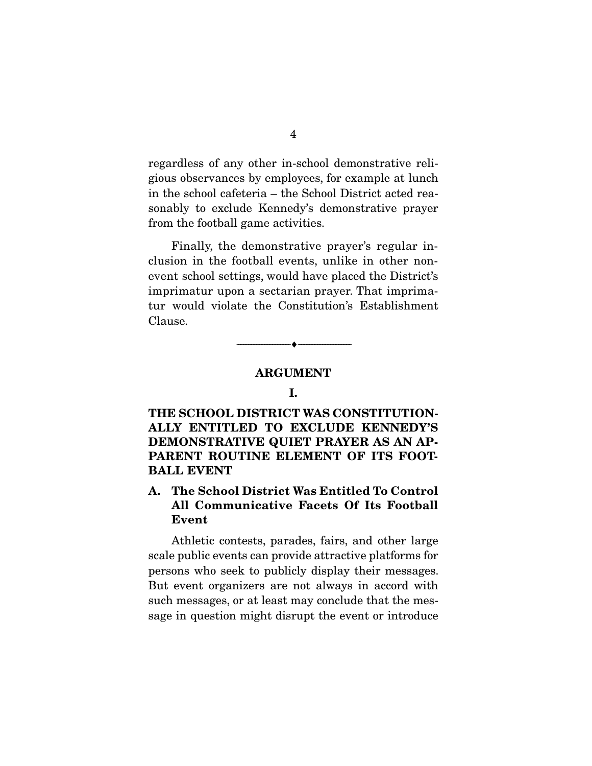regardless of any other in-school demonstrative religious observances by employees, for example at lunch in the school cafeteria – the School District acted reasonably to exclude Kennedy's demonstrative prayer from the football game activities.

 Finally, the demonstrative prayer's regular inclusion in the football events, unlike in other nonevent school settings, would have placed the District's imprimatur upon a sectarian prayer. That imprimatur would violate the Constitution's Establishment Clause.

#### **ARGUMENT**

--------------------------------- ♦ ---------------------------------

#### **I.**

**THE SCHOOL DISTRICT WAS CONSTITUTION-ALLY ENTITLED TO EXCLUDE KENNEDY'S DEMONSTRATIVE QUIET PRAYER AS AN AP-PARENT ROUTINE ELEMENT OF ITS FOOT-BALL EVENT** 

### **A. The School District Was Entitled To Control All Communicative Facets Of Its Football Event**

 Athletic contests, parades, fairs, and other large scale public events can provide attractive platforms for persons who seek to publicly display their messages. But event organizers are not always in accord with such messages, or at least may conclude that the message in question might disrupt the event or introduce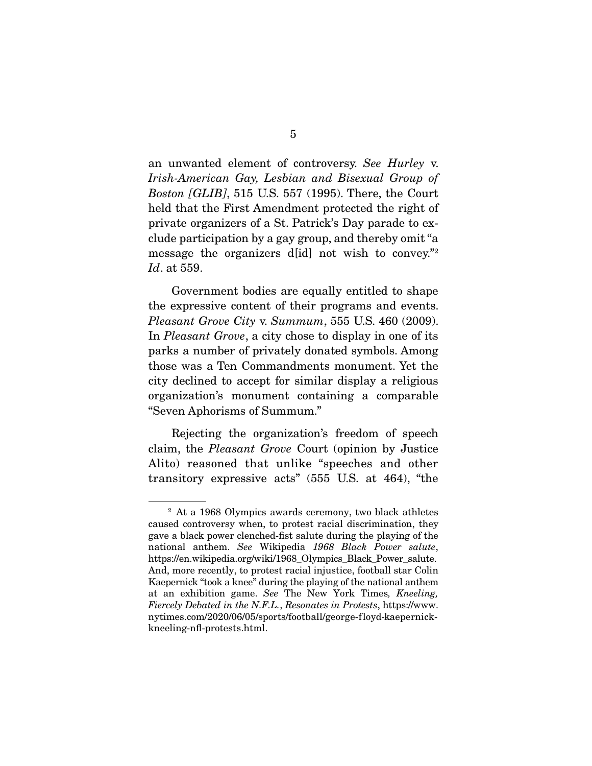an unwanted element of controversy. See Hurley v. Irish-American Gay, Lesbian and Bisexual Group of Boston [GLIB], 515 U.S. 557 (1995). There, the Court held that the First Amendment protected the right of private organizers of a St. Patrick's Day parade to exclude participation by a gay group, and thereby omit "a message the organizers d[id] not wish to convey."2 Id. at 559.

 Government bodies are equally entitled to shape the expressive content of their programs and events. Pleasant Grove City v. Summum, 555 U.S. 460 (2009). In Pleasant Grove, a city chose to display in one of its parks a number of privately donated symbols. Among those was a Ten Commandments monument. Yet the city declined to accept for similar display a religious organization's monument containing a comparable "Seven Aphorisms of Summum."

 Rejecting the organization's freedom of speech claim, the Pleasant Grove Court (opinion by Justice Alito) reasoned that unlike "speeches and other transitory expressive acts" (555 U.S. at 464), "the

<sup>2</sup> At a 1968 Olympics awards ceremony, two black athletes caused controversy when, to protest racial discrimination, they gave a black power clenched-fist salute during the playing of the national anthem. See Wikipedia 1968 Black Power salute, https://en.wikipedia.org/wiki/1968 Olympics Black Power salute. And, more recently, to protest racial injustice, football star Colin Kaepernick "took a knee" during the playing of the national anthem at an exhibition game. See The New York Times, Kneeling, Fiercely Debated in the N.F.L., Resonates in Protests, https://www. nytimes.com/2020/06/05/sports/football/george-floyd-kaepernickkneeling-nfl-protests.html.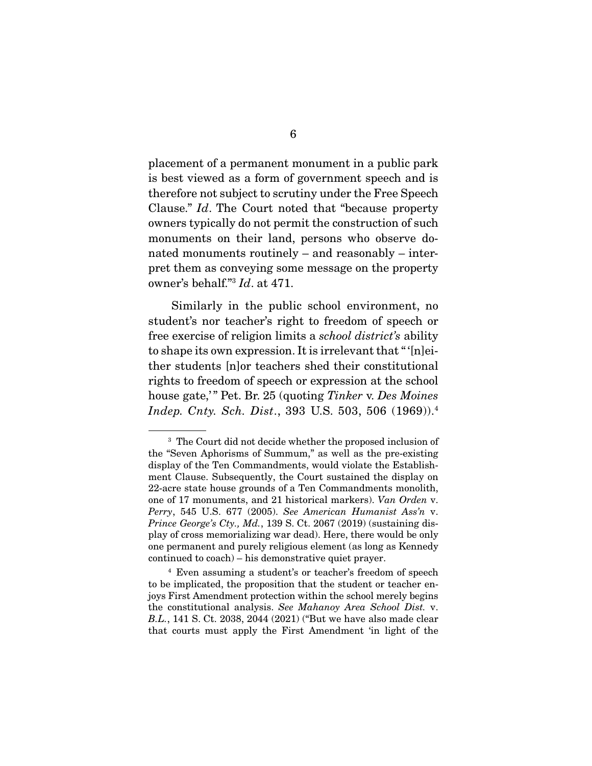placement of a permanent monument in a public park is best viewed as a form of government speech and is therefore not subject to scrutiny under the Free Speech Clause." Id. The Court noted that "because property owners typically do not permit the construction of such monuments on their land, persons who observe donated monuments routinely – and reasonably – interpret them as conveying some message on the property owner's behalf."3 Id. at 471.

 Similarly in the public school environment, no student's nor teacher's right to freedom of speech or free exercise of religion limits a school district's ability to shape its own expression. It is irrelevant that " '[n]either students [n]or teachers shed their constitutional rights to freedom of speech or expression at the school house gate," Pet. Br. 25 (quoting Tinker v. Des Moines Indep. Cnty. Sch. Dist., 393 U.S. 503, 506 (1969)).4

<sup>3</sup> The Court did not decide whether the proposed inclusion of the "Seven Aphorisms of Summum," as well as the pre-existing display of the Ten Commandments, would violate the Establishment Clause. Subsequently, the Court sustained the display on 22-acre state house grounds of a Ten Commandments monolith, one of 17 monuments, and 21 historical markers). Van Orden v. Perry, 545 U.S. 677 (2005). See American Humanist Ass'n v. *Prince George's Cty., Md., 139 S. Ct. 2067 (2019)* (sustaining display of cross memorializing war dead). Here, there would be only one permanent and purely religious element (as long as Kennedy continued to coach) – his demonstrative quiet prayer.

<sup>4</sup> Even assuming a student's or teacher's freedom of speech to be implicated, the proposition that the student or teacher enjoys First Amendment protection within the school merely begins the constitutional analysis. See Mahanoy Area School Dist. v. B.L., 141 S. Ct. 2038, 2044 (2021) ("But we have also made clear that courts must apply the First Amendment 'in light of the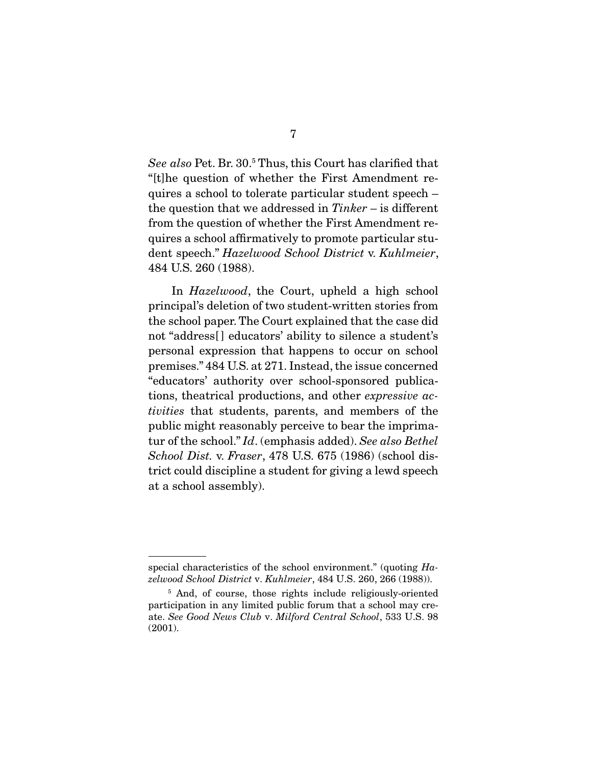See also Pet. Br. 30.<sup>5</sup> Thus, this Court has clarified that "[t]he question of whether the First Amendment requires a school to tolerate particular student speech – the question that we addressed in  $Tinker - is$  different from the question of whether the First Amendment requires a school affirmatively to promote particular student speech." Hazelwood School District v. Kuhlmeier, 484 U.S. 260 (1988).

 In Hazelwood, the Court, upheld a high school principal's deletion of two student-written stories from the school paper. The Court explained that the case did not "address[] educators' ability to silence a student's personal expression that happens to occur on school premises." 484 U.S. at 271. Instead, the issue concerned "educators' authority over school-sponsored publications, theatrical productions, and other expressive activities that students, parents, and members of the public might reasonably perceive to bear the imprimatur of the school." Id. (emphasis added). See also Bethel School Dist. v. Fraser, 478 U.S. 675 (1986) (school district could discipline a student for giving a lewd speech at a school assembly).

special characteristics of the school environment." (quoting  $Ha$ zelwood School District v. Kuhlmeier, 484 U.S. 260, 266 (1988)).

<sup>&</sup>lt;sup>5</sup> And, of course, those rights include religiously-oriented participation in any limited public forum that a school may create. See Good News Club v. Milford Central School, 533 U.S. 98 (2001).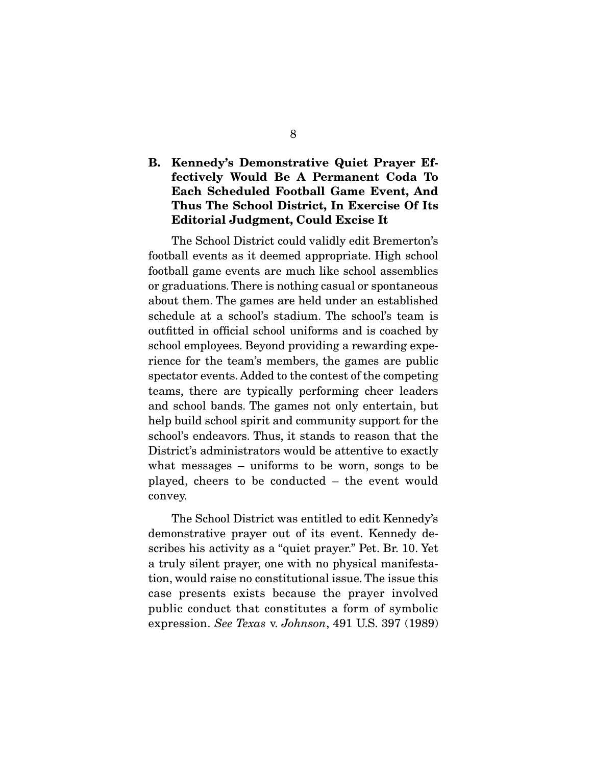### **B. Kennedy's Demonstrative Quiet Prayer Effectively Would Be A Permanent Coda To Each Scheduled Football Game Event, And Thus The School District, In Exercise Of Its Editorial Judgment, Could Excise It**

 The School District could validly edit Bremerton's football events as it deemed appropriate. High school football game events are much like school assemblies or graduations. There is nothing casual or spontaneous about them. The games are held under an established schedule at a school's stadium. The school's team is outfitted in official school uniforms and is coached by school employees. Beyond providing a rewarding experience for the team's members, the games are public spectator events. Added to the contest of the competing teams, there are typically performing cheer leaders and school bands. The games not only entertain, but help build school spirit and community support for the school's endeavors. Thus, it stands to reason that the District's administrators would be attentive to exactly what messages – uniforms to be worn, songs to be played, cheers to be conducted – the event would convey.

 The School District was entitled to edit Kennedy's demonstrative prayer out of its event. Kennedy describes his activity as a "quiet prayer." Pet. Br. 10. Yet a truly silent prayer, one with no physical manifestation, would raise no constitutional issue. The issue this case presents exists because the prayer involved public conduct that constitutes a form of symbolic expression. See Texas v. Johnson, 491 U.S. 397 (1989)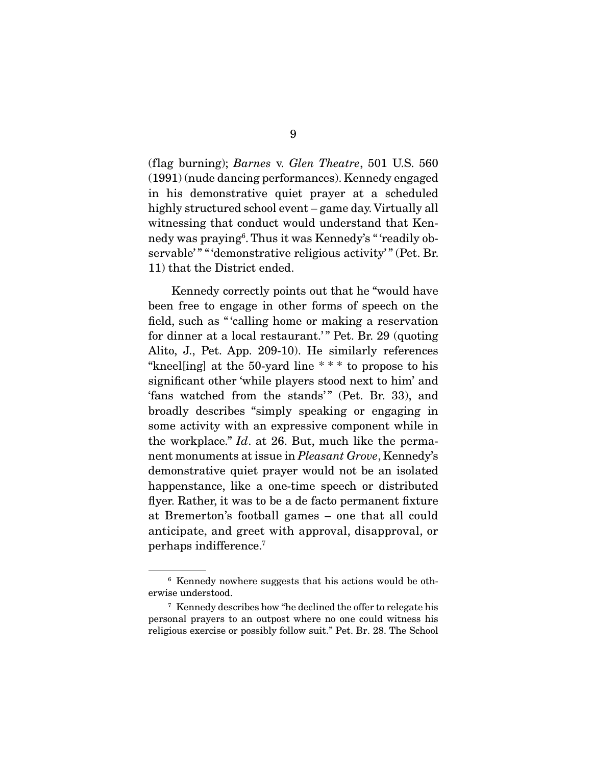(flag burning); Barnes v. Glen Theatre, 501 U.S. 560 (1991) (nude dancing performances). Kennedy engaged in his demonstrative quiet prayer at a scheduled highly structured school event – game day. Virtually all witnessing that conduct would understand that Kennedy was praying6 . Thus it was Kennedy's " 'readily observable'" " " demonstrative religious activity'" (Pet. Br. 11) that the District ended.

 Kennedy correctly points out that he "would have been free to engage in other forms of speech on the field, such as " 'calling home or making a reservation for dinner at a local restaurant.'" Pet. Br. 29 (quoting Alito, J., Pet. App. 209-10). He similarly references "kneelling] at the 50-yard line  $***$  to propose to his significant other 'while players stood next to him' and 'fans watched from the stands'" (Pet. Br. 33), and broadly describes "simply speaking or engaging in some activity with an expressive component while in the workplace." Id. at 26. But, much like the permanent monuments at issue in Pleasant Grove, Kennedy's demonstrative quiet prayer would not be an isolated happenstance, like a one-time speech or distributed flyer. Rather, it was to be a de facto permanent fixture at Bremerton's football games – one that all could anticipate, and greet with approval, disapproval, or perhaps indifference.7

<sup>6</sup> Kennedy nowhere suggests that his actions would be otherwise understood.

<sup>&</sup>lt;sup>7</sup> Kennedy describes how "he declined the offer to relegate his personal prayers to an outpost where no one could witness his religious exercise or possibly follow suit." Pet. Br. 28. The School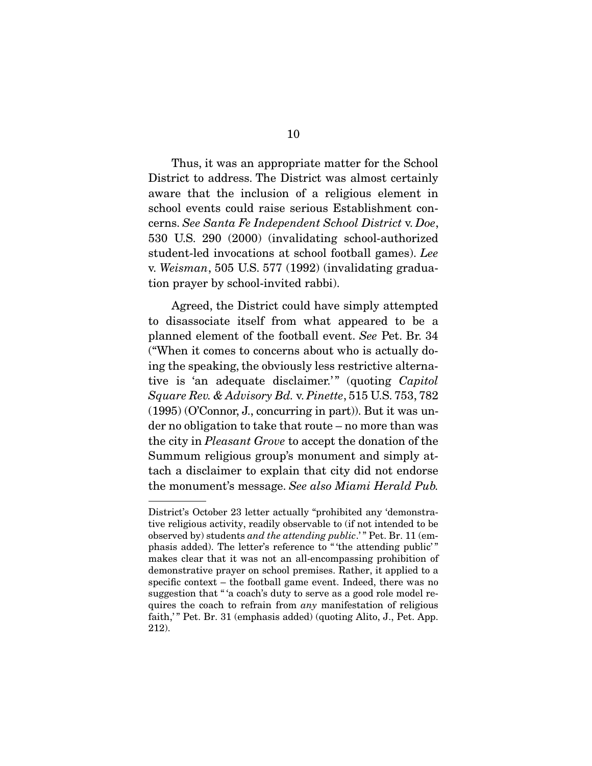Thus, it was an appropriate matter for the School District to address. The District was almost certainly aware that the inclusion of a religious element in school events could raise serious Establishment concerns. See Santa Fe Independent School District v. Doe, 530 U.S. 290 (2000) (invalidating school-authorized student-led invocations at school football games). Lee v. Weisman, 505 U.S. 577 (1992) (invalidating graduation prayer by school-invited rabbi).

 Agreed, the District could have simply attempted to disassociate itself from what appeared to be a planned element of the football event. See Pet. Br. 34 ("When it comes to concerns about who is actually doing the speaking, the obviously less restrictive alternative is 'an adequate disclaimer.'" (quoting Capitol Square Rev. & Advisory Bd. v. Pinette, 515 U.S. 753, 782 (1995) (O'Connor, J., concurring in part)). But it was under no obligation to take that route – no more than was the city in Pleasant Grove to accept the donation of the Summum religious group's monument and simply attach a disclaimer to explain that city did not endorse the monument's message. See also Miami Herald Pub.

District's October 23 letter actually "prohibited any 'demonstrative religious activity, readily observable to (if not intended to be observed by) students and the attending public.'" Pet. Br. 11 (emphasis added). The letter's reference to " 'the attending public' " makes clear that it was not an all-encompassing prohibition of demonstrative prayer on school premises. Rather, it applied to a specific context – the football game event. Indeed, there was no suggestion that " 'a coach's duty to serve as a good role model requires the coach to refrain from any manifestation of religious faith,'" Pet. Br. 31 (emphasis added) (quoting Alito, J., Pet. App. 212).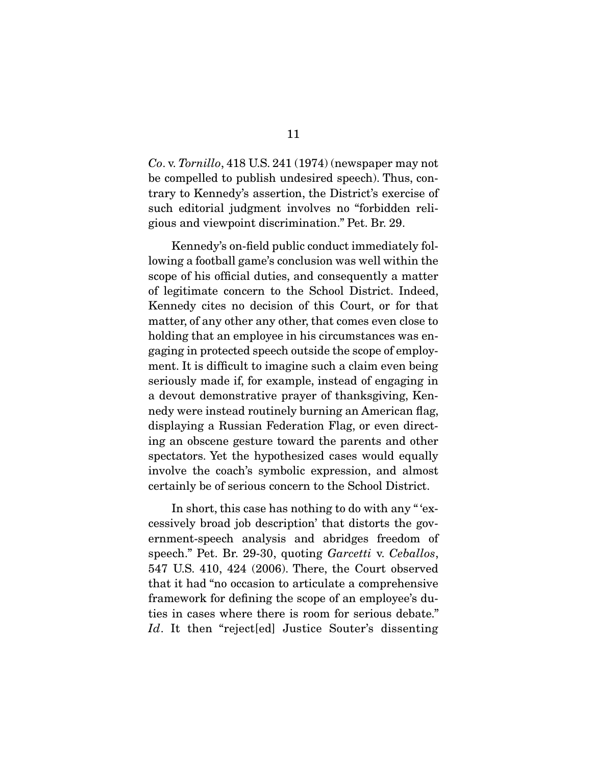Co. v. Tornillo, 418 U.S. 241 (1974) (newspaper may not be compelled to publish undesired speech). Thus, contrary to Kennedy's assertion, the District's exercise of such editorial judgment involves no "forbidden religious and viewpoint discrimination." Pet. Br. 29.

 Kennedy's on-field public conduct immediately following a football game's conclusion was well within the scope of his official duties, and consequently a matter of legitimate concern to the School District. Indeed, Kennedy cites no decision of this Court, or for that matter, of any other any other, that comes even close to holding that an employee in his circumstances was engaging in protected speech outside the scope of employment. It is difficult to imagine such a claim even being seriously made if, for example, instead of engaging in a devout demonstrative prayer of thanksgiving, Kennedy were instead routinely burning an American flag, displaying a Russian Federation Flag, or even directing an obscene gesture toward the parents and other spectators. Yet the hypothesized cases would equally involve the coach's symbolic expression, and almost certainly be of serious concern to the School District.

 In short, this case has nothing to do with any " 'excessively broad job description' that distorts the government-speech analysis and abridges freedom of speech." Pet. Br. 29-30, quoting Garcetti v. Ceballos, 547 U.S. 410, 424 (2006). There, the Court observed that it had "no occasion to articulate a comprehensive framework for defining the scope of an employee's duties in cases where there is room for serious debate." Id. It then "rejected] Justice Souter's dissenting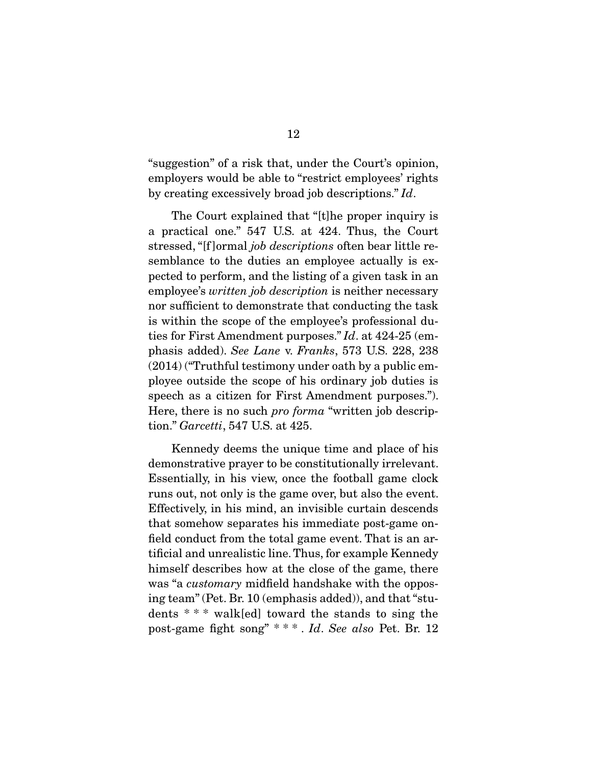"suggestion" of a risk that, under the Court's opinion, employers would be able to "restrict employees' rights by creating excessively broad job descriptions." Id.

 The Court explained that "[t]he proper inquiry is a practical one." 547 U.S. at 424. Thus, the Court stressed, "[f ]ormal job descriptions often bear little resemblance to the duties an employee actually is expected to perform, and the listing of a given task in an employee's *written job description* is neither necessary nor sufficient to demonstrate that conducting the task is within the scope of the employee's professional duties for First Amendment purposes." Id. at 424-25 (emphasis added). See Lane v. Franks, 573 U.S. 228, 238 (2014) ("Truthful testimony under oath by a public employee outside the scope of his ordinary job duties is speech as a citizen for First Amendment purposes."). Here, there is no such *pro forma* "written job description." Garcetti, 547 U.S. at 425.

 Kennedy deems the unique time and place of his demonstrative prayer to be constitutionally irrelevant. Essentially, in his view, once the football game clock runs out, not only is the game over, but also the event. Effectively, in his mind, an invisible curtain descends that somehow separates his immediate post-game onfield conduct from the total game event. That is an artificial and unrealistic line. Thus, for example Kennedy himself describes how at the close of the game, there was "a *customary* midfield handshake with the opposing team" (Pet. Br. 10 (emphasis added)), and that "students \* \* \* walk[ed] toward the stands to sing the post-game fight song" \* \* \* . Id. See also Pet. Br. 12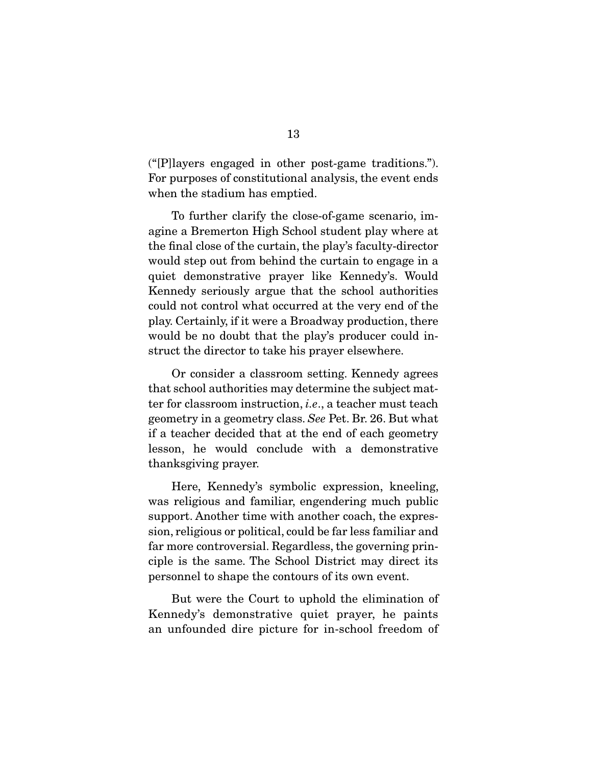("[P]layers engaged in other post-game traditions."). For purposes of constitutional analysis, the event ends when the stadium has emptied.

 To further clarify the close-of-game scenario, imagine a Bremerton High School student play where at the final close of the curtain, the play's faculty-director would step out from behind the curtain to engage in a quiet demonstrative prayer like Kennedy's. Would Kennedy seriously argue that the school authorities could not control what occurred at the very end of the play. Certainly, if it were a Broadway production, there would be no doubt that the play's producer could instruct the director to take his prayer elsewhere.

 Or consider a classroom setting. Kennedy agrees that school authorities may determine the subject matter for classroom instruction, i.e., a teacher must teach geometry in a geometry class. See Pet. Br. 26. But what if a teacher decided that at the end of each geometry lesson, he would conclude with a demonstrative thanksgiving prayer.

 Here, Kennedy's symbolic expression, kneeling, was religious and familiar, engendering much public support. Another time with another coach, the expression, religious or political, could be far less familiar and far more controversial. Regardless, the governing principle is the same. The School District may direct its personnel to shape the contours of its own event.

 But were the Court to uphold the elimination of Kennedy's demonstrative quiet prayer, he paints an unfounded dire picture for in-school freedom of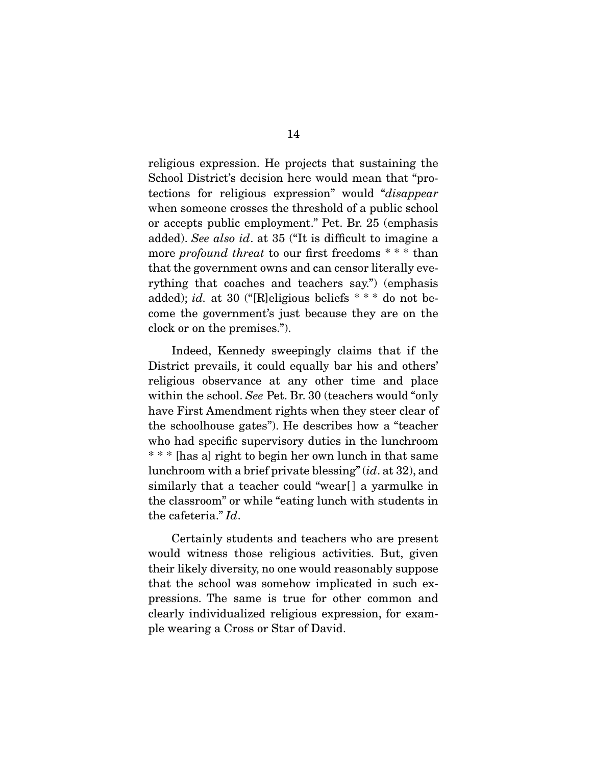religious expression. He projects that sustaining the School District's decision here would mean that "protections for religious expression" would "disappear when someone crosses the threshold of a public school or accepts public employment." Pet. Br. 25 (emphasis added). See also id. at 35 ("It is difficult to imagine a more *profound threat* to our first freedoms  $**$  than that the government owns and can censor literally everything that coaches and teachers say.") (emphasis added); *id.* at 30 ("[R]eligious beliefs  $***$  do not become the government's just because they are on the clock or on the premises.").

 Indeed, Kennedy sweepingly claims that if the District prevails, it could equally bar his and others' religious observance at any other time and place within the school. See Pet. Br. 30 (teachers would "only" have First Amendment rights when they steer clear of the schoolhouse gates"). He describes how a "teacher who had specific supervisory duties in the lunchroom \* \* \* [has a] right to begin her own lunch in that same lunchroom with a brief private blessing" (id. at 32), and similarly that a teacher could "wear[ ] a yarmulke in the classroom" or while "eating lunch with students in the cafeteria." Id.

 Certainly students and teachers who are present would witness those religious activities. But, given their likely diversity, no one would reasonably suppose that the school was somehow implicated in such expressions. The same is true for other common and clearly individualized religious expression, for example wearing a Cross or Star of David.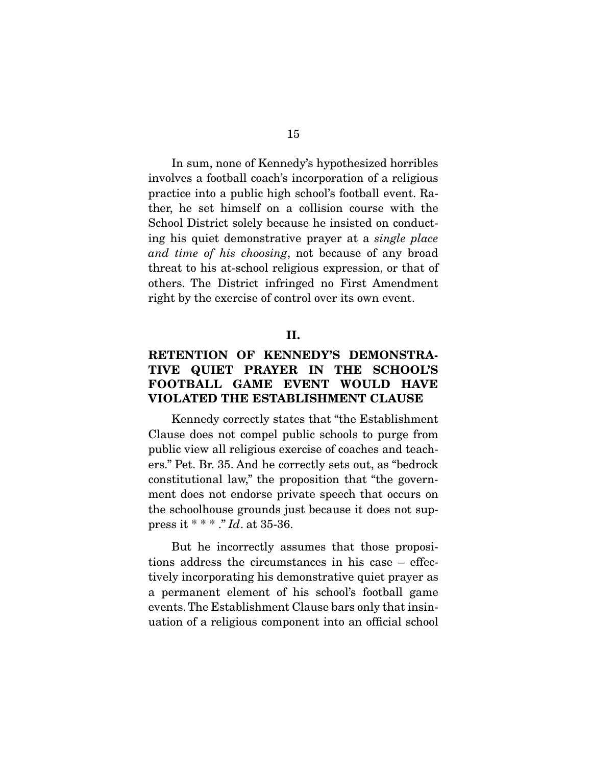In sum, none of Kennedy's hypothesized horribles involves a football coach's incorporation of a religious practice into a public high school's football event. Rather, he set himself on a collision course with the School District solely because he insisted on conducting his quiet demonstrative prayer at a single place and time of his choosing, not because of any broad threat to his at-school religious expression, or that of others. The District infringed no First Amendment right by the exercise of control over its own event.

#### **II.**

### **RETENTION OF KENNEDY'S DEMONSTRA-TIVE QUIET PRAYER IN THE SCHOOL'S FOOTBALL GAME EVENT WOULD HAVE VIOLATED THE ESTABLISHMENT CLAUSE**

 Kennedy correctly states that "the Establishment Clause does not compel public schools to purge from public view all religious exercise of coaches and teachers." Pet. Br. 35. And he correctly sets out, as "bedrock constitutional law," the proposition that "the government does not endorse private speech that occurs on the schoolhouse grounds just because it does not suppress it \* \* \* ." *Id.* at 35-36.

 But he incorrectly assumes that those propositions address the circumstances in his case – effectively incorporating his demonstrative quiet prayer as a permanent element of his school's football game events. The Establishment Clause bars only that insinuation of a religious component into an official school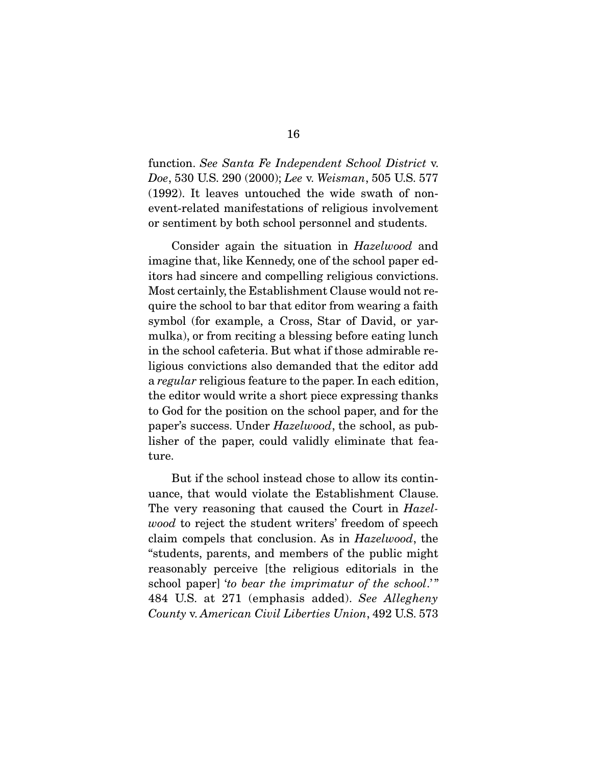function. See Santa Fe Independent School District v. Doe, 530 U.S. 290 (2000); Lee v. Weisman, 505 U.S. 577 (1992). It leaves untouched the wide swath of nonevent-related manifestations of religious involvement or sentiment by both school personnel and students.

 Consider again the situation in Hazelwood and imagine that, like Kennedy, one of the school paper editors had sincere and compelling religious convictions. Most certainly, the Establishment Clause would not require the school to bar that editor from wearing a faith symbol (for example, a Cross, Star of David, or yarmulka), or from reciting a blessing before eating lunch in the school cafeteria. But what if those admirable religious convictions also demanded that the editor add a regular religious feature to the paper. In each edition, the editor would write a short piece expressing thanks to God for the position on the school paper, and for the paper's success. Under Hazelwood, the school, as publisher of the paper, could validly eliminate that feature.

 But if the school instead chose to allow its continuance, that would violate the Establishment Clause. The very reasoning that caused the Court in Hazelwood to reject the student writers' freedom of speech claim compels that conclusion. As in Hazelwood, the "students, parents, and members of the public might reasonably perceive [the religious editorials in the school paper] 'to bear the imprimatur of the school.'" 484 U.S. at 271 (emphasis added). See Allegheny County v. American Civil Liberties Union, 492 U.S. 573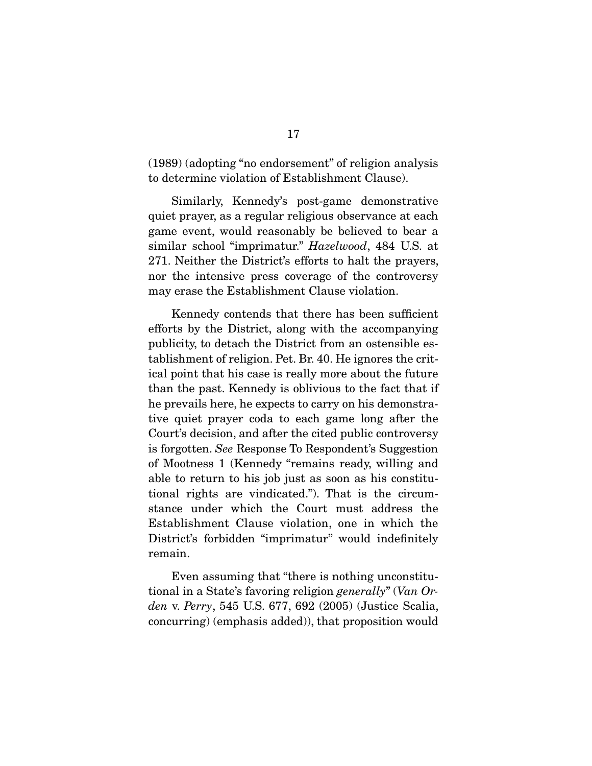(1989) (adopting "no endorsement" of religion analysis to determine violation of Establishment Clause).

 Similarly, Kennedy's post-game demonstrative quiet prayer, as a regular religious observance at each game event, would reasonably be believed to bear a similar school "imprimatur." Hazelwood, 484 U.S. at 271. Neither the District's efforts to halt the prayers, nor the intensive press coverage of the controversy may erase the Establishment Clause violation.

 Kennedy contends that there has been sufficient efforts by the District, along with the accompanying publicity, to detach the District from an ostensible establishment of religion. Pet. Br. 40. He ignores the critical point that his case is really more about the future than the past. Kennedy is oblivious to the fact that if he prevails here, he expects to carry on his demonstrative quiet prayer coda to each game long after the Court's decision, and after the cited public controversy is forgotten. See Response To Respondent's Suggestion of Mootness 1 (Kennedy "remains ready, willing and able to return to his job just as soon as his constitutional rights are vindicated."). That is the circumstance under which the Court must address the Establishment Clause violation, one in which the District's forbidden "imprimatur" would indefinitely remain.

 Even assuming that "there is nothing unconstitutional in a State's favoring religion generally" (Van Orden v. Perry, 545 U.S. 677, 692 (2005) (Justice Scalia, concurring) (emphasis added)), that proposition would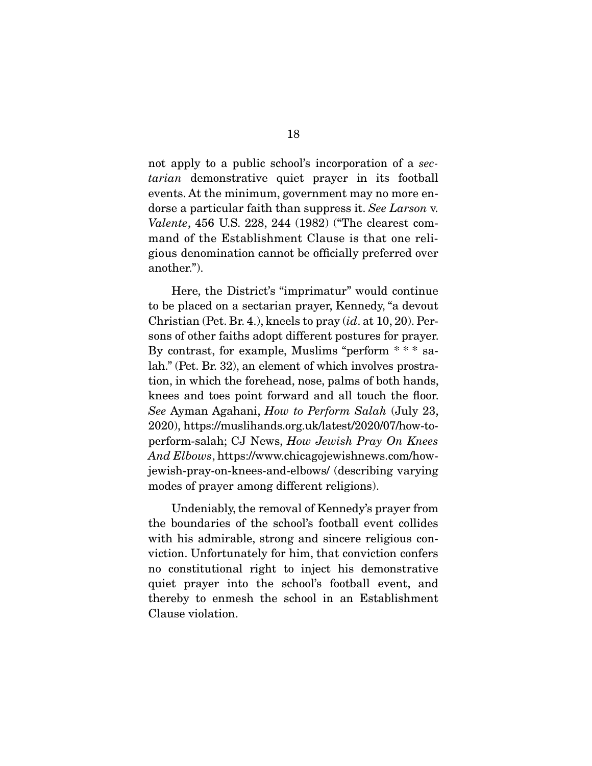not apply to a public school's incorporation of a sectarian demonstrative quiet prayer in its football events. At the minimum, government may no more endorse a particular faith than suppress it. See Larson v. Valente, 456 U.S. 228, 244 (1982) ("The clearest command of the Establishment Clause is that one religious denomination cannot be officially preferred over another.").

 Here, the District's "imprimatur" would continue to be placed on a sectarian prayer, Kennedy, "a devout Christian (Pet. Br. 4.), kneels to pray  $(id$ . at 10, 20). Persons of other faiths adopt different postures for prayer. By contrast, for example, Muslims "perform \* \* \* salah." (Pet. Br. 32), an element of which involves prostration, in which the forehead, nose, palms of both hands, knees and toes point forward and all touch the floor. See Ayman Agahani, How to Perform Salah (July 23, 2020), https://muslihands.org.uk/latest/2020/07/how-toperform-salah; CJ News, How Jewish Pray On Knees And Elbows, https://www.chicagojewishnews.com/howjewish-pray-on-knees-and-elbows/ (describing varying modes of prayer among different religions).

 Undeniably, the removal of Kennedy's prayer from the boundaries of the school's football event collides with his admirable, strong and sincere religious conviction. Unfortunately for him, that conviction confers no constitutional right to inject his demonstrative quiet prayer into the school's football event, and thereby to enmesh the school in an Establishment Clause violation.